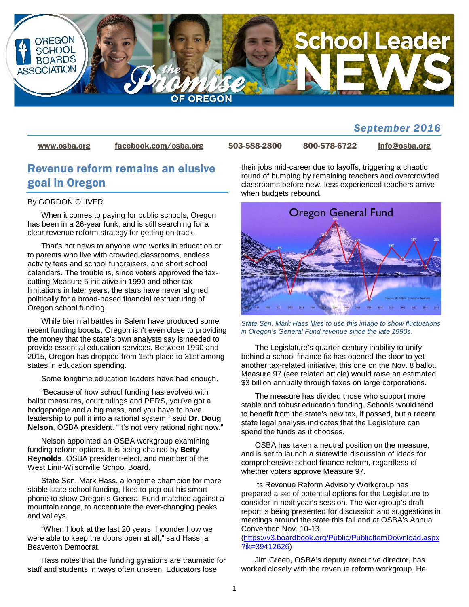

### *September 2016*

[www.osba.org](http://www.osba.org/) [facebook.com/osba.org](http://www.facebook.com/osba.org) 503-588-2800 800-578-6722 [info@osba.org](mailto:info@osba.org)

## Revenue reform remains an elusive goal in Oregon

#### By GORDON OLIVER

When it comes to paying for public schools, Oregon has been in a 26-year funk, and is still searching for a clear revenue reform strategy for getting on track.

That's not news to anyone who works in education or to parents who live with crowded classrooms, endless activity fees and school fundraisers, and short school calendars. The trouble is, since voters approved the taxcutting Measure 5 initiative in 1990 and other tax limitations in later years, the stars have never aligned politically for a broad-based financial restructuring of Oregon school funding.

While biennial battles in Salem have produced some recent funding boosts, Oregon isn't even close to providing the money that the state's own analysts say is needed to provide essential education services. Between 1990 and 2015, Oregon has dropped from 15th place to 31st among states in education spending.

Some longtime education leaders have had enough.

"Because of how school funding has evolved with ballot measures, court rulings and PERS, you've got a hodgepodge and a big mess, and you have to have leadership to pull it into a rational system," said **Dr. Doug Nelson**, OSBA president. "It's not very rational right now."

Nelson appointed an OSBA workgroup examining funding reform options. It is being chaired by **Betty Reynolds**, OSBA president-elect, and member of the West Linn-Wilsonville School Board.

State Sen. Mark Hass, a longtime champion for more stable state school funding, likes to pop out his smart phone to show Oregon's General Fund matched against a mountain range, to accentuate the ever-changing peaks and valleys.

"When I look at the last 20 years, I wonder how we were able to keep the doors open at all," said Hass, a Beaverton Democrat.

Hass notes that the funding gyrations are traumatic for staff and students in ways often unseen. Educators lose

their jobs mid-career due to layoffs, triggering a chaotic round of bumping by remaining teachers and overcrowded classrooms before new, less-experienced teachers arrive when budgets rebound.



*State Sen. Mark Hass likes to use this image to show fluctuations in Oregon's General Fund revenue since the late 1990s.* 

The Legislature's quarter-century inability to unify behind a school finance fix has opened the door to yet another tax-related initiative, this one on the Nov. 8 ballot. Measure 97 (see related article) would raise an estimated \$3 billion annually through taxes on large corporations.

The measure has divided those who support more stable and robust education funding. Schools would tend to benefit from the state's new tax, if passed, but a recent state legal analysis indicates that the Legislature can spend the funds as it chooses.

OSBA has taken a neutral position on the measure, and is set to launch a statewide discussion of ideas for comprehensive school finance reform, regardless of whether voters approve Measure 97.

Its Revenue Reform Advisory Workgroup has prepared a set of potential options for the Legislature to consider in next year's session. The workgroup's draft report is being presented for discussion and suggestions in meetings around the state this fall and at OSBA's Annual Convention Nov. 10-13.

[\(https://v3.boardbook.org/Public/PublicItemDownload.aspx](https://v3.boardbook.org/Public/PublicItemDownload.aspx?ik=39412626) [?ik=39412626\)](https://v3.boardbook.org/Public/PublicItemDownload.aspx?ik=39412626)

Jim Green, OSBA's deputy executive director, has worked closely with the revenue reform workgroup. He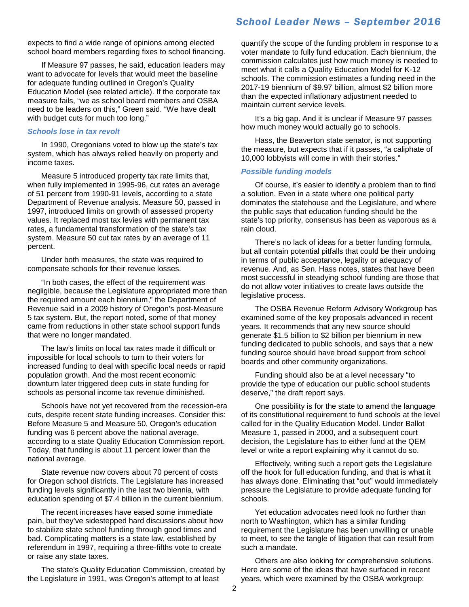expects to find a wide range of opinions among elected school board members regarding fixes to school financing.

If Measure 97 passes, he said, education leaders may want to advocate for levels that would meet the baseline for adequate funding outlined in Oregon's Quality Education Model (see related article). If the corporate tax measure fails, "we as school board members and OSBA need to be leaders on this," Green said. "We have dealt with budget cuts for much too long."

#### *Schools lose in tax revolt*

In 1990, Oregonians voted to blow up the state's tax system, which has always relied heavily on property and income taxes.

Measure 5 introduced property tax rate limits that, when fully implemented in 1995-96, cut rates an average of 51 percent from 1990-91 levels, according to a state Department of Revenue analysis. Measure 50, passed in 1997, introduced limits on growth of assessed property values. It replaced most tax levies with permanent tax rates, a fundamental transformation of the state's tax system. Measure 50 cut tax rates by an average of 11 percent.

Under both measures, the state was required to compensate schools for their revenue losses.

"In both cases, the effect of the requirement was negligible, because the Legislature appropriated more than the required amount each biennium," the Department of Revenue said in a 2009 history of Oregon's post-Measure 5 tax system. But, the report noted, some of that money came from reductions in other state school support funds that were no longer mandated.

The law's limits on local tax rates made it difficult or impossible for local schools to turn to their voters for increased funding to deal with specific local needs or rapid population growth. And the most recent economic downturn later triggered deep cuts in state funding for schools as personal income tax revenue diminished.

Schools have not yet recovered from the recession-era cuts, despite recent state funding increases. Consider this: Before Measure 5 and Measure 50, Oregon's education funding was 6 percent above the national average, according to a state Quality Education Commission report. Today, that funding is about 11 percent lower than the national average.

State revenue now covers about 70 percent of costs for Oregon school districts. The Legislature has increased funding levels significantly in the last two biennia, with education spending of \$7.4 billion in the current biennium.

The recent increases have eased some immediate pain, but they've sidestepped hard discussions about how to stabilize state school funding through good times and bad. Complicating matters is a state law, established by referendum in 1997, requiring a three-fifths vote to create or raise any state taxes.

The state's Quality Education Commission, created by the Legislature in 1991, was Oregon's attempt to at least

quantify the scope of the funding problem in response to a voter mandate to fully fund education. Each biennium, the commission calculates just how much money is needed to meet what it calls a Quality Education Model for K-12 schools. The commission estimates a funding need in the 2017-19 biennium of \$9.97 billion, almost \$2 billion more than the expected inflationary adjustment needed to maintain current service levels.

It's a big gap. And it is unclear if Measure 97 passes how much money would actually go to schools.

Hass, the Beaverton state senator, is not supporting the measure, but expects that if it passes, "a caliphate of 10,000 lobbyists will come in with their stories."

#### *Possible funding models*

Of course, it's easier to identify a problem than to find a solution. Even in a state where one political party dominates the statehouse and the Legislature, and where the public says that education funding should be the state's top priority, consensus has been as vaporous as a rain cloud.

There's no lack of ideas for a better funding formula, but all contain potential pitfalls that could be their undoing in terms of public acceptance, legality or adequacy of revenue. And, as Sen. Hass notes, states that have been most successful in steadying school funding are those that do not allow voter initiatives to create laws outside the legislative process.

The OSBA Revenue Reform Advisory Workgroup has examined some of the key proposals advanced in recent years. It recommends that any new source should generate \$1.5 billion to \$2 billion per biennium in new funding dedicated to public schools, and says that a new funding source should have broad support from school boards and other community organizations.

Funding should also be at a level necessary "to provide the type of education our public school students deserve," the draft report says.

One possibility is for the state to amend the language of its constitutional requirement to fund schools at the level called for in the Quality Education Model. Under Ballot Measure 1, passed in 2000, and a subsequent court decision, the Legislature has to either fund at the QEM level or write a report explaining why it cannot do so.

Effectively, writing such a report gets the Legislature off the hook for full education funding, and that is what it has always done. Eliminating that "out" would immediately pressure the Legislature to provide adequate funding for schools.

Yet education advocates need look no further than north to Washington, which has a similar funding requirement the Legislature has been unwilling or unable to meet, to see the tangle of litigation that can result from such a mandate.

Others are also looking for comprehensive solutions. Here are some of the ideas that have surfaced in recent years, which were examined by the OSBA workgroup: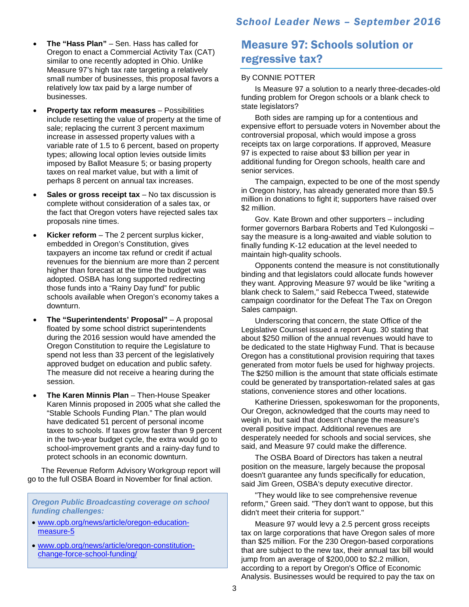- **The "Hass Plan"** Sen. Hass has called for Oregon to enact a Commercial Activity Tax (CAT) similar to one recently adopted in Ohio. Unlike Measure 97's high tax rate targeting a relatively small number of businesses, this proposal favors a relatively low tax paid by a large number of businesses.
- **Property tax reform measures** Possibilities include resetting the value of property at the time of sale; replacing the current 3 percent maximum increase in assessed property values with a variable rate of 1.5 to 6 percent, based on property types; allowing local option levies outside limits imposed by Ballot Measure 5; or basing property taxes on real market value, but with a limit of perhaps 8 percent on annual tax increases.
- **Sales or gross receipt tax** No tax discussion is complete without consideration of a sales tax, or the fact that Oregon voters have rejected sales tax proposals nine times.
- **Kicker reform** The 2 percent surplus kicker, embedded in Oregon's Constitution, gives taxpayers an income tax refund or credit if actual revenues for the biennium are more than 2 percent higher than forecast at the time the budget was adopted. OSBA has long supported redirecting those funds into a "Rainy Day fund" for public schools available when Oregon's economy takes a downturn.
- **The "Superintendents' Proposal"** A proposal floated by some school district superintendents during the 2016 session would have amended the Oregon Constitution to require the Legislature to spend not less than 33 percent of the legislatively approved budget on education and public safety. The measure did not receive a hearing during the session.
- **The Karen Minnis Plan** Then-House Speaker Karen Minnis proposed in 2005 what she called the "Stable Schools Funding Plan." The plan would have dedicated 51 percent of personal income taxes to schools. If taxes grow faster than 9 percent in the two-year budget cycle, the extra would go to school-improvement grants and a rainy-day fund to protect schools in an economic downturn.

The Revenue Reform Advisory Workgroup report will go to the full OSBA Board in November for final action.

*Oregon Public Broadcasting coverage on school funding challenges:*

- [www.opb.org/news/article/oregon-education](http://www.opb.org/news/article/oregon-education-measure-5)[measure-5](http://www.opb.org/news/article/oregon-education-measure-5)
- [www.opb.org/news/article/oregon-constitution](http://www.opb.org/news/article/oregon-constitution-change-force-school-funding/)[change-force-school-funding/](http://www.opb.org/news/article/oregon-constitution-change-force-school-funding/)

## Measure 97: Schools solution or regressive tax?

#### By CONNIE POTTER

Is Measure 97 a solution to a nearly three-decades-old funding problem for Oregon schools or a blank check to state legislators?

Both sides are ramping up for a contentious and expensive effort to persuade voters in November about the controversial proposal, which would impose a gross receipts tax on large corporations. If approved, Measure 97 is expected to raise about \$3 billion per year in additional funding for Oregon schools, health care and senior services.

The campaign, expected to be one of the most spendy in Oregon history, has already generated more than \$9.5 million in donations to fight it; supporters have raised over \$2 million.

Gov. Kate Brown and other supporters – including former governors Barbara Roberts and Ted Kulongoski – say the measure is a long-awaited and viable solution to finally funding K-12 education at the level needed to maintain high-quality schools.

Opponents contend the measure is not constitutionally binding and that legislators could allocate funds however they want. Approving Measure 97 would be like "writing a blank check to Salem," said Rebecca Tweed, statewide campaign coordinator for the Defeat The Tax on Oregon Sales campaign.

Underscoring that concern, the state Office of the Legislative Counsel issued a report Aug. 30 stating that about \$250 million of the annual revenues would have to be dedicated to the state Highway Fund. That is because Oregon has a constitutional provision requiring that taxes generated from motor fuels be used for highway projects. The \$250 million is the amount that state officials estimate could be generated by transportation-related sales at gas stations, convenience stores and other locations.

Katherine Driessen, spokeswoman for the proponents, Our Oregon, acknowledged that the courts may need to weigh in, but said that doesn't change the measure's overall positive impact. Additional revenues are desperately needed for schools and social services, she said, and Measure 97 could make the difference.

The OSBA Board of Directors has taken a neutral position on the measure, largely because the proposal doesn't guarantee any funds specifically for education, said Jim Green, OSBA's deputy executive director.

"They would like to see comprehensive revenue reform," Green said. "They don't want to oppose, but this didn't meet their criteria for support."

Measure 97 would levy a 2.5 percent gross receipts tax on large corporations that have Oregon sales of more than \$25 million. For the 230 Oregon-based corporations that are subject to the new tax, their annual tax bill would jump from an average of \$200,000 to \$2.2 million, according to a report by Oregon's Office of Economic Analysis. Businesses would be required to pay the tax on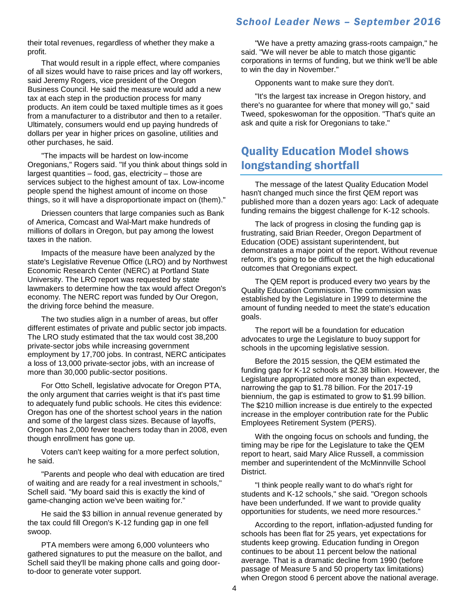their total revenues, regardless of whether they make a profit.

That would result in a ripple effect, where companies of all sizes would have to raise prices and lay off workers, said Jeremy Rogers, vice president of the Oregon Business Council. He said the measure would add a new tax at each step in the production process for many products. An item could be taxed multiple times as it goes from a manufacturer to a distributor and then to a retailer. Ultimately, consumers would end up paying hundreds of dollars per year in higher prices on gasoline, utilities and other purchases, he said.

"The impacts will be hardest on low-income Oregonians," Rogers said. "If you think about things sold in largest quantities – food, gas, electricity – those are services subject to the highest amount of tax. Low-income people spend the highest amount of income on those things, so it will have a disproportionate impact on (them)."

Driessen counters that large companies such as Bank of America, Comcast and Wal-Mart make hundreds of millions of dollars in Oregon, but pay among the lowest taxes in the nation.

Impacts of the measure have been analyzed by the state's Legislative Revenue Office (LRO) and by Northwest Economic Research Center (NERC) at Portland State University. The LRO report was requested by state lawmakers to determine how the tax would affect Oregon's economy. The NERC report was funded by Our Oregon, the driving force behind the measure.

The two studies align in a number of areas, but offer different estimates of private and public sector job impacts. The LRO study estimated that the tax would cost 38,200 private-sector jobs while increasing government employment by 17,700 jobs. In contrast, NERC anticipates a loss of 13,000 private-sector jobs, with an increase of more than 30,000 public-sector positions.

For Otto Schell, legislative advocate for Oregon PTA, the only argument that carries weight is that it's past time to adequately fund public schools. He cites this evidence: Oregon has one of the shortest school years in the nation and some of the largest class sizes. Because of layoffs, Oregon has 2,000 fewer teachers today than in 2008, even though enrollment has gone up.

Voters can't keep waiting for a more perfect solution, he said.

"Parents and people who deal with education are tired of waiting and are ready for a real investment in schools," Schell said. "My board said this is exactly the kind of game-changing action we've been waiting for."

He said the \$3 billion in annual revenue generated by the tax could fill Oregon's K-12 funding gap in one fell swoop.

PTA members were among 6,000 volunteers who gathered signatures to put the measure on the ballot, and Schell said they'll be making phone calls and going doorto-door to generate voter support.

"We have a pretty amazing grass-roots campaign," he said. "We will never be able to match those gigantic corporations in terms of funding, but we think we'll be able to win the day in November."

Opponents want to make sure they don't.

"It's the largest tax increase in Oregon history, and there's no guarantee for where that money will go," said Tweed, spokeswoman for the opposition. "That's quite an ask and quite a risk for Oregonians to take."

## Quality Education Model shows longstanding shortfall

The message of the latest Quality Education Model hasn't changed much since the first QEM report was published more than a dozen years ago: Lack of adequate funding remains the biggest challenge for K-12 schools.

The lack of progress in closing the funding gap is frustrating, said Brian Reeder, Oregon Department of Education (ODE) assistant superintendent, but demonstrates a major point of the report. Without revenue reform, it's going to be difficult to get the high educational outcomes that Oregonians expect.

The QEM report is produced every two years by the Quality Education Commission. The commission was established by the Legislature in 1999 to determine the amount of funding needed to meet the state's education goals.

The report will be a foundation for education advocates to urge the Legislature to buoy support for schools in the upcoming legislative session.

Before the 2015 session, the QEM estimated the funding gap for K-12 schools at \$2.38 billion. However, the Legislature appropriated more money than expected, narrowing the gap to \$1.78 billion. For the 2017-19 biennium, the gap is estimated to grow to \$1.99 billion. The \$210 million increase is due entirely to the expected increase in the employer contribution rate for the Public Employees Retirement System (PERS).

With the ongoing focus on schools and funding, the timing may be ripe for the Legislature to take the QEM report to heart, said Mary Alice Russell, a commission member and superintendent of the McMinnville School District.

"I think people really want to do what's right for students and K-12 schools," she said. "Oregon schools have been underfunded. If we want to provide quality opportunities for students, we need more resources."

According to the report, inflation-adjusted funding for schools has been flat for 25 years, yet expectations for students keep growing. Education funding in Oregon continues to be about 11 percent below the national average. That is a dramatic decline from 1990 (before passage of Measure 5 and 50 property tax limitations) when Oregon stood 6 percent above the national average.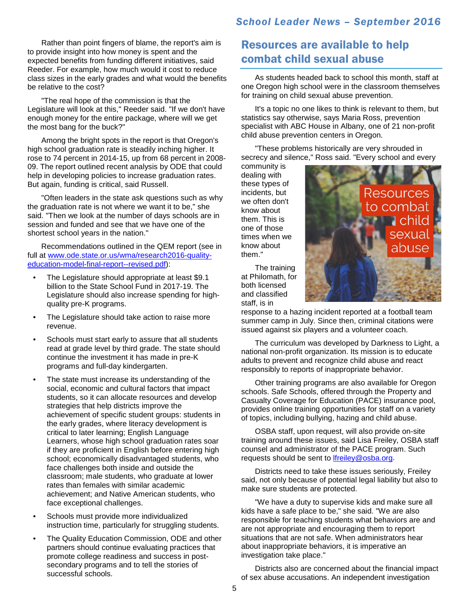Rather than point fingers of blame, the report's aim is to provide insight into how money is spent and the expected benefits from funding different initiatives, said Reeder. For example, how much would it cost to reduce class sizes in the early grades and what would the benefits be relative to the cost?

"The real hope of the commission is that the Legislature will look at this," Reeder said. "If we don't have enough money for the entire package, where will we get the most bang for the buck?"

Among the bright spots in the report is that Oregon's high school graduation rate is steadily inching higher. It rose to 74 percent in 2014-15, up from 68 percent in 2008- 09. The report outlined recent analysis by ODE that could help in developing policies to increase graduation rates. But again, funding is critical, said Russell.

"Often leaders in the state ask questions such as why the graduation rate is not where we want it to be," she said. "Then we look at the number of days schools are in session and funded and see that we have one of the shortest school years in the nation."

Recommendations outlined in the QEM report (see in full at [www.ode.state.or.us/wma/research2016-quality](http://www.ode.state.or.us/wma/research2016-quality-education-model-final-report--revised.pdf)[education-model-final-report--revised.pdf\)](http://www.ode.state.or.us/wma/research2016-quality-education-model-final-report--revised.pdf):

- The Legislature should appropriate at least \$9.1 billion to the State School Fund in 2017-19. The Legislature should also increase spending for highquality pre-K programs.
- The Legislature should take action to raise more revenue.
- Schools must start early to assure that all students read at grade level by third grade. The state should continue the investment it has made in pre-K programs and full-day kindergarten.
- The state must increase its understanding of the social, economic and cultural factors that impact students, so it can allocate resources and develop strategies that help districts improve the achievement of specific student groups: students in the early grades, where literacy development is critical to later learning; English Language Learners, whose high school graduation rates soar if they are proficient in English before entering high school; economically disadvantaged students, who face challenges both inside and outside the classroom; male students, who graduate at lower rates than females with similar academic achievement; and Native American students, who face exceptional challenges.
- Schools must provide more individualized instruction time, particularly for struggling students.
- The Quality Education Commission, ODE and other partners should continue evaluating practices that promote college readiness and success in postsecondary programs and to tell the stories of successful schools.

## Resources are available to help combat child sexual abuse

As students headed back to school this month, staff at one Oregon high school were in the classroom themselves for training on child sexual abuse prevention.

It's a topic no one likes to think is relevant to them, but statistics say otherwise, says Maria Ross, prevention specialist with ABC House in Albany, one of 21 non-profit child abuse prevention centers in Oregon.

"These problems historically are very shrouded in secrecy and silence," Ross said. "Every school and every

community is dealing with these types of incidents, but we often don't know about them. This is one of those times when we know about them<sup>"</sup>

The training at Philomath, for both licensed and classified staff, is in



response to a hazing incident reported at a football team summer camp in July. Since then, criminal citations were issued against six players and a volunteer coach.

The curriculum was developed by Darkness to Light, a national non-profit organization. Its mission is to educate adults to prevent and recognize child abuse and react responsibly to reports of inappropriate behavior.

Other training programs are also available for Oregon schools. Safe Schools, offered through the Property and Casualty Coverage for Education (PACE) insurance pool, provides online training opportunities for staff on a variety of topics, including bullying, hazing and child abuse.

OSBA staff, upon request, will also provide on-site training around these issues, said Lisa Freiley, OSBA staff counsel and administrator of the PACE program. Such requests should be sent to [lfreiley@osba.org.](mailto:lfreiley@osba.org?subject=Onsite%20PACE%20training)

Districts need to take these issues seriously, Freiley said, not only because of potential legal liability but also to make sure students are protected.

"We have a duty to supervise kids and make sure all kids have a safe place to be," she said. "We are also responsible for teaching students what behaviors are and are not appropriate and encouraging them to report situations that are not safe. When administrators hear about inappropriate behaviors, it is imperative an investigation take place."

Districts also are concerned about the financial impact of sex abuse accusations. An independent investigation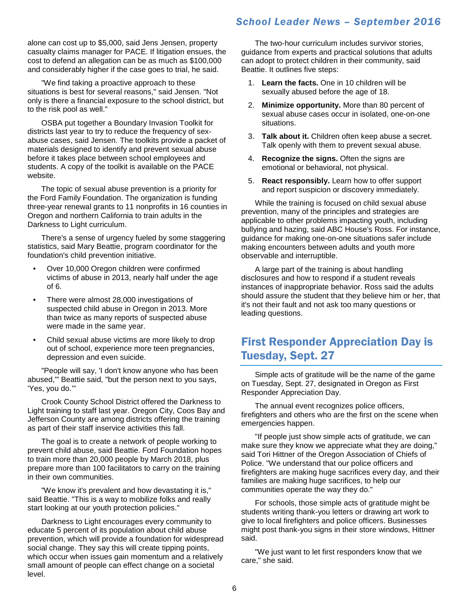alone can cost up to \$5,000, said Jens Jensen, property casualty claims manager for PACE. If litigation ensues, the cost to defend an allegation can be as much as \$100,000 and considerably higher if the case goes to trial, he said.

"We find taking a proactive approach to these situations is best for several reasons," said Jensen. "Not only is there a financial exposure to the school district, but to the risk pool as well."

OSBA put together a Boundary Invasion Toolkit for districts last year to try to reduce the frequency of sexabuse cases, said Jensen. The toolkits provide a packet of materials designed to identify and prevent sexual abuse before it takes place between school employees and students. A copy of the toolkit is available on the PACE website.

The topic of sexual abuse prevention is a priority for the Ford Family Foundation. The organization is funding three-year renewal grants to 11 nonprofits in 16 counties in Oregon and northern California to train adults in the Darkness to Light curriculum.

There's a sense of urgency fueled by some staggering statistics, said Mary Beattie, program coordinator for the foundation's child prevention initiative.

- Over 10,000 Oregon children were confirmed victims of abuse in 2013, nearly half under the age of 6.
- There were almost 28,000 investigations of suspected child abuse in Oregon in 2013. More than twice as many reports of suspected abuse were made in the same year.
- Child sexual abuse victims are more likely to drop out of school, experience more teen pregnancies, depression and even suicide.

"People will say, 'I don't know anyone who has been abused,'" Beattie said, "but the person next to you says, 'Yes, you do.'"

Crook County School District offered the Darkness to Light training to staff last year. Oregon City, Coos Bay and Jefferson County are among districts offering the training as part of their staff inservice activities this fall.

The goal is to create a network of people working to prevent child abuse, said Beattie. Ford Foundation hopes to train more than 20,000 people by March 2018, plus prepare more than 100 facilitators to carry on the training in their own communities.

"We know it's prevalent and how devastating it is," said Beattie. "This is a way to mobilize folks and really start looking at our youth protection policies."

Darkness to Light encourages every community to educate 5 percent of its population about child abuse prevention, which will provide a foundation for widespread social change. They say this will create tipping points, which occur when issues gain momentum and a relatively small amount of people can effect change on a societal level.

The two-hour curriculum includes survivor stories, guidance from experts and practical solutions that adults can adopt to protect children in their community, said Beattie. It outlines five steps:

- 1. **Learn the facts.** One in 10 children will be sexually abused before the age of 18.
- 2. **Minimize opportunity.** More than 80 percent of sexual abuse cases occur in isolated, one-on-one situations.
- 3. **Talk about it.** Children often keep abuse a secret. Talk openly with them to prevent sexual abuse.
- 4. **Recognize the signs.** Often the signs are emotional or behavioral, not physical.
- 5. **React responsibly.** Learn how to offer support and report suspicion or discovery immediately.

While the training is focused on child sexual abuse prevention, many of the principles and strategies are applicable to other problems impacting youth, including bullying and hazing, said ABC House's Ross. For instance, guidance for making one-on-one situations safer include making encounters between adults and youth more observable and interruptible.

A large part of the training is about handling disclosures and how to respond if a student reveals instances of inappropriate behavior. Ross said the adults should assure the student that they believe him or her, that it's not their fault and not ask too many questions or leading questions.

## First Responder Appreciation Day is Tuesday, Sept. 27

Simple acts of gratitude will be the name of the game on Tuesday, Sept. 27, designated in Oregon as First Responder Appreciation Day.

The annual event recognizes police officers, firefighters and others who are the first on the scene when emergencies happen.

"If people just show simple acts of gratitude, we can make sure they know we appreciate what they are doing," said Tori Hittner of the Oregon Association of Chiefs of Police. "We understand that our police officers and firefighters are making huge sacrifices every day, and their families are making huge sacrifices, to help our communities operate the way they do."

For schools, those simple acts of gratitude might be students writing thank-you letters or drawing art work to give to local firefighters and police officers. Businesses might post thank-you signs in their store windows, Hittner said.

"We just want to let first responders know that we care," she said.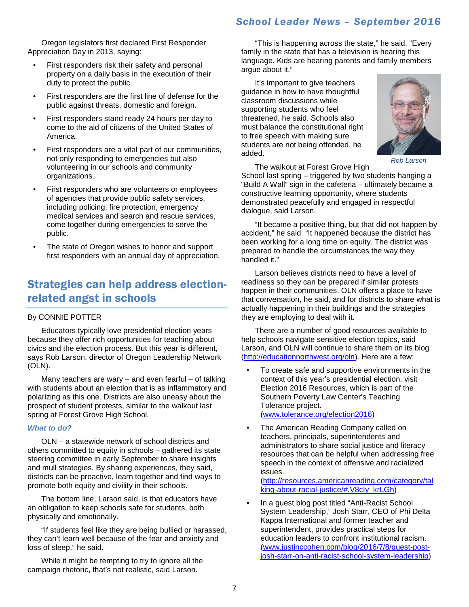Oregon legislators first declared First Responder Appreciation Day in 2013, saying:

- First responders risk their safety and personal property on a daily basis in the execution of their duty to protect the public.
- First responders are the first line of defense for the public against threats, domestic and foreign.
- First responders stand ready 24 hours per day to come to the aid of citizens of the United States of America.
- First responders are a vital part of our communities, not only responding to emergencies but also volunteering in our schools and community organizations.
- First responders who are volunteers or employees of agencies that provide public safety services, including policing, fire protection, emergency medical services and search and rescue services, come together during emergencies to serve the public.
- The state of Oregon wishes to honor and support first responders with an annual day of appreciation.

## Strategies can help address electionrelated angst in schools

#### By CONNIE POTTER

Educators typically love presidential election years because they offer rich opportunities for teaching about civics and the election process. But this year is different, says Rob Larson, director of Oregon Leadership Network (OLN).

Many teachers are wary  $-$  and even fearful  $-$  of talking with students about an election that is as inflammatory and polarizing as this one. Districts are also uneasy about the prospect of student protests, similar to the walkout last spring at Forest Grove High School.

#### *What to do?*

OLN – a statewide network of school districts and others committed to equity in schools – gathered its state steering committee in early September to share insights and mull strategies. By sharing experiences, they said, districts can be proactive, learn together and find ways to promote both equity and civility in their schools.

The bottom line, Larson said, is that educators have an obligation to keep schools safe for students, both physically and emotionally.

"If students feel like they are being bullied or harassed, they can't learn well because of the fear and anxiety and loss of sleep," he said.

While it might be tempting to try to ignore all the campaign rhetoric, that's not realistic, said Larson.

"This is happening across the state," he said. "Every family in the state that has a television is hearing this language. Kids are hearing parents and family members argue about it."

It's important to give teachers guidance in how to have thoughtful classroom discussions while supporting students who feel threatened, he said. Schools also must balance the constitutional right to free speech with making sure students are not being offended, he added.



*Rob Larson*

The walkout at Forest Grove High

School last spring – triggered by two students hanging a "Build A Wall" sign in the cafeteria – ultimately became a constructive learning opportunity, where students demonstrated peacefully and engaged in respectful dialogue, said Larson.

"It became a positive thing, but that did not happen by accident," he said. "It happened because the district has been working for a long time on equity. The district was prepared to handle the circumstances the way they handled it."

Larson believes districts need to have a level of readiness so they can be prepared if similar protests happen in their communities. OLN offers a place to have that conversation, he said, and for districts to share what is actually happening in their buildings and the strategies they are employing to deal with it.

There are a number of good resources available to help schools navigate sensitive election topics, said Larson, and OLN will continue to share them on its blog [\(http://educationnorthwest.org/oln\)](http://educationnorthwest.org/oln). Here are a few:

- To create safe and supportive environments in the context of this year's presidential election, visit Election 2016 Resources, which is part of the Southern Poverty Law Center's Teaching Tolerance project. [\(www.tolerance.org/election2016\)](http://www.tolerance.org/election2016)
- The American Reading Company called on teachers, principals, superintendents and administrators to share social justice and literacy resources that can be helpful when addressing free speech in the context of offensive and racialized issues.

[\(http://resources.americanreading.com/category/tal](http://resources.americanreading.com/category/talking-about-racial-justice/%23.V8cIy_krLGh) [king-about-racial-justice/#.V8cIy\\_krLGh\)](http://resources.americanreading.com/category/talking-about-racial-justice/%23.V8cIy_krLGh)

• In a guest blog post titled "Anti-Racist School System Leadership," Josh Starr, CEO of Phi Delta Kappa International and former teacher and superintendent, provides practical steps for education leaders to confront institutional racism. [\(www.justinccohen.com/blog/2016/7/8/guest-post](http://www.justinccohen.com/blog/2016/7/8/guest-post-josh-starr-on-anti-racist-school-system-leadership)[josh-starr-on-anti-racist-school-system-leadership\)](http://www.justinccohen.com/blog/2016/7/8/guest-post-josh-starr-on-anti-racist-school-system-leadership)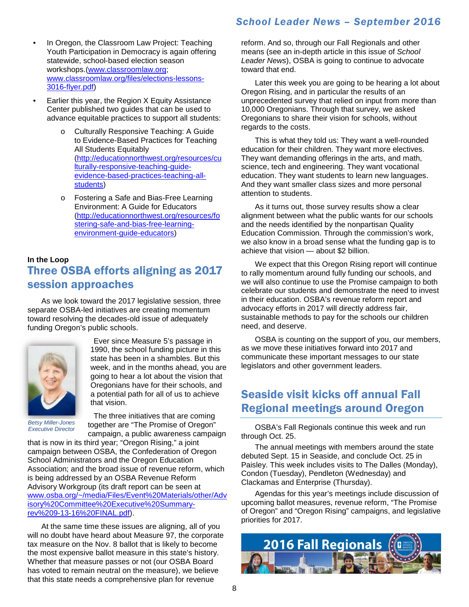- In Oregon, the Classroom Law Project: Teaching Youth Participation in Democracy is again offering statewide, school-based election season workshops.[\(www.classroomlaw.org;](http://www.classroomlaw.org/)  [www.classroomlaw.org/files/elections-lessons-](http://www.classroomlaw.org/files/elections-lessons-3016-flyer.pdf)[3016-flyer.pdf\)](http://www.classroomlaw.org/files/elections-lessons-3016-flyer.pdf)
- Earlier this year, the Region X Equity Assistance Center published two guides that can be used to advance equitable practices to support all students:
	- Culturally Responsive Teaching: A Guide to Evidence-Based Practices for Teaching All Students Equitably [\(http://educationnorthwest.org/resources/cu](http://educationnorthwest.org/resources/culturally-responsive-teaching-guide-evidence-based-practices-teaching-all-students) [lturally-responsive-teaching-guide](http://educationnorthwest.org/resources/culturally-responsive-teaching-guide-evidence-based-practices-teaching-all-students)[evidence-based-practices-teaching-all](http://educationnorthwest.org/resources/culturally-responsive-teaching-guide-evidence-based-practices-teaching-all-students)[students\)](http://educationnorthwest.org/resources/culturally-responsive-teaching-guide-evidence-based-practices-teaching-all-students)
	- o Fostering a Safe and Bias-Free Learning Environment: A Guide for Educators [\(http://educationnorthwest.org/resources/fo](http://educationnorthwest.org/resources/fostering-safe-and-bias-free-learning-environment-guide-educators) [stering-safe-and-bias-free-learning](http://educationnorthwest.org/resources/fostering-safe-and-bias-free-learning-environment-guide-educators)[environment-guide-educators\)](http://educationnorthwest.org/resources/fostering-safe-and-bias-free-learning-environment-guide-educators)

## **In the Loop** Three OSBA efforts aligning as 2017 session approaches

As we look toward the 2017 legislative session, three separate OSBA-led initiatives are creating momentum toward resolving the decades-old issue of adequately funding Oregon's public schools.



Ever since Measure 5's passage in 1990, the school funding picture in this state has been in a shambles. But this week, and in the months ahead, you are going to hear a lot about the vision that Oregonians have for their schools, and a potential path for all of us to achieve that vision.

*Betsy Miller-Jones Executive Director*

The three initiatives that are coming together are "The Promise of Oregon" campaign, a public awareness campaign

that is now in its third year; "Oregon Rising," a joint campaign between OSBA, the Confederation of Oregon School Administrators and the Oregon Education Association; and the broad issue of revenue reform, which is being addressed by an OSBA Revenue Reform Advisory Workgroup (its draft report can be seen at [www.osba.org/~/media/Files/Event%20Materials/other/Adv](http://www.osba.org/%7E/media/Files/Event%20Materials/other/Advisory%20Committee%20Executive%20Summary-rev%209-13-16%20FINAL.pdf) [isory%20Committee%20Executive%20Summary](http://www.osba.org/%7E/media/Files/Event%20Materials/other/Advisory%20Committee%20Executive%20Summary-rev%209-13-16%20FINAL.pdf)[rev%209-13-16%20FINAL.pdf\)](http://www.osba.org/%7E/media/Files/Event%20Materials/other/Advisory%20Committee%20Executive%20Summary-rev%209-13-16%20FINAL.pdf).

At the same time these issues are aligning, all of you will no doubt have heard about Measure 97, the corporate tax measure on the Nov. 8 ballot that is likely to become the most expensive ballot measure in this state's history. Whether that measure passes or not (our OSBA Board has voted to remain neutral on the measure), we believe that this state needs a comprehensive plan for revenue

reform. And so, through our Fall Regionals and other means (see an in-depth article in this issue of *School Leader News*), OSBA is going to continue to advocate toward that end.

Later this week you are going to be hearing a lot about Oregon Rising, and in particular the results of an unprecedented survey that relied on input from more than 10,000 Oregonians. Through that survey, we asked Oregonians to share their vision for schools, without regards to the costs.

This is what they told us: They want a well-rounded education for their children. They want more electives. They want demanding offerings in the arts, and math, science, tech and engineering. They want vocational education. They want students to learn new languages. And they want smaller class sizes and more personal attention to students.

As it turns out, those survey results show a clear alignment between what the public wants for our schools and the needs identified by the nonpartisan Quality Education Commission. Through the commission's work, we also know in a broad sense what the funding gap is to achieve that vision — about \$2 billion.

We expect that this Oregon Rising report will continue to rally momentum around fully funding our schools, and we will also continue to use the Promise campaign to both celebrate our students and demonstrate the need to invest in their education. OSBA's revenue reform report and advocacy efforts in 2017 will directly address fair, sustainable methods to pay for the schools our children need, and deserve.

OSBA is counting on the support of you, our members, as we move these initiatives forward into 2017 and communicate these important messages to our state legislators and other government leaders.

# Seaside visit kicks off annual Fall Regional meetings around Oregon

OSBA's Fall Regionals continue this week and run through Oct. 25.

The annual meetings with members around the state debuted Sept. 15 in Seaside, and conclude Oct. 25 in Paisley. This week includes visits to The Dalles (Monday), Condon (Tuesday), Pendleton (Wednesday) and Clackamas and Enterprise (Thursday).

Agendas for this year's meetings include discussion of upcoming ballot measures, revenue reform, "The Promise of Oregon" and "Oregon Rising" campaigns, and legislative priorities for 2017.